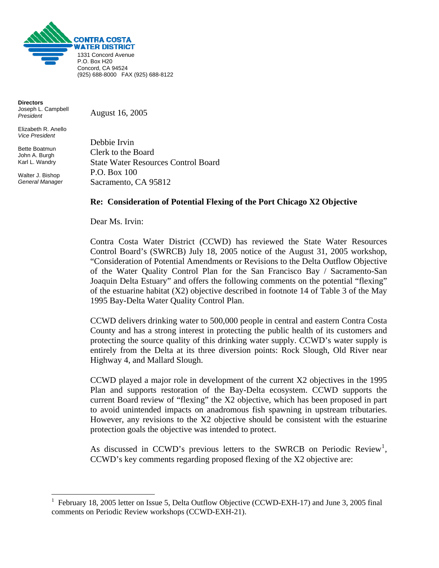

**Directors**  Joseph L. Campbell *President* 

Elizabeth R. Anello *Vice President* 

Bette Boatmun John A. Burgh Karl L. Wandry

Walter J. Bishop *General Manager*

1

August 16, 2005

Debbie Irvin Clerk to the Board State Water Resources Control Board P.O. Box 100 Sacramento, CA 95812

## **Re: Consideration of Potential Flexing of the Port Chicago X2 Objective**

Dear Ms. Irvin:

Contra Costa Water District (CCWD) has reviewed the State Water Resources Control Board's (SWRCB) July 18, 2005 notice of the August 31, 2005 workshop, "Consideration of Potential Amendments or Revisions to the Delta Outflow Objective of the Water Quality Control Plan for the San Francisco Bay / Sacramento-San Joaquin Delta Estuary" and offers the following comments on the potential "flexing" of the estuarine habitat (X2) objective described in footnote 14 of Table 3 of the May 1995 Bay-Delta Water Quality Control Plan.

CCWD delivers drinking water to 500,000 people in central and eastern Contra Costa County and has a strong interest in protecting the public health of its customers and protecting the source quality of this drinking water supply. CCWD's water supply is entirely from the Delta at its three diversion points: Rock Slough, Old River near Highway 4, and Mallard Slough.

CCWD played a major role in development of the current X2 objectives in the 1995 Plan and supports restoration of the Bay-Delta ecosystem. CCWD supports the current Board review of "flexing" the X2 objective, which has been proposed in part to avoid unintended impacts on anadromous fish spawning in upstream tributaries. However, any revisions to the X2 objective should be consistent with the estuarine protection goals the objective was intended to protect.

As discussed in CCWD's previous letters to the SWRCB on Periodic Review<sup>[1](#page-0-0)</sup>, CCWD's key comments regarding proposed flexing of the X2 objective are:

<span id="page-0-0"></span><sup>&</sup>lt;sup>1</sup> February 18, 2005 letter on Issue 5, Delta Outflow Objective (CCWD-EXH-17) and June 3, 2005 final comments on Periodic Review workshops (CCWD-EXH-21).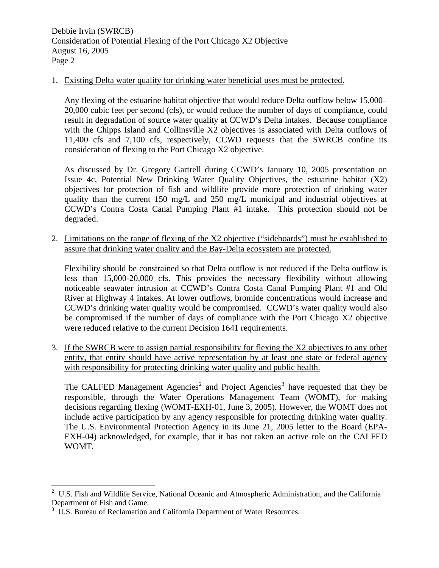## 1. Existing Delta water quality for drinking water beneficial uses must be protected.

Any flexing of the estuarine habitat objective that would reduce Delta outflow below 15,000– 20,000 cubic feet per second (cfs), or would reduce the number of days of compliance, could result in degradation of source water quality at CCWD's Delta intakes. Because compliance with the Chipps Island and Collinsville X2 objectives is associated with Delta outflows of 11,400 cfs and 7,100 cfs, respectively, CCWD requests that the SWRCB confine its consideration of flexing to the Port Chicago X2 objective.

As discussed by Dr. Gregory Gartrell during CCWD's January 10, 2005 presentation on Issue 4c, Potential New Drinking Water Quality Objectives, the estuarine habitat (X2) objectives for protection of fish and wildlife provide more protection of drinking water quality than the current 150 mg/L and 250 mg/L municipal and industrial objectives at CCWD's Contra Costa Canal Pumping Plant #1 intake. This protection should not be degraded.

2. Limitations on the range of flexing of the X2 objective ("sideboards") must be established to assure that drinking water quality and the Bay-Delta ecosystem are protected.

Flexibility should be constrained so that Delta outflow is not reduced if the Delta outflow is less than 15,000-20,000 cfs. This provides the necessary flexibility without allowing noticeable seawater intrusion at CCWD's Contra Costa Canal Pumping Plant #1 and Old River at Highway 4 intakes. At lower outflows, bromide concentrations would increase and CCWD's drinking water quality would be compromised. CCWD's water quality would also be compromised if the number of days of compliance with the Port Chicago X2 objective were reduced relative to the current Decision 1641 requirements.

3. If the SWRCB were to assign partial responsibility for flexing the X2 objectives to any other entity, that entity should have active representation by at least one state or federal agency with responsibility for protecting drinking water quality and public health.

The CALFED Management Agencies<sup>[2](#page-1-0)</sup> and Project Agencies<sup>[3](#page-1-1)</sup> have requested that they be responsible, through the Water Operations Management Team (WOMT), for making decisions regarding flexing (WOMT-EXH-01, June 3, 2005). However, the WOMT does not include active participation by any agency responsible for protecting drinking water quality. The U.S. Environmental Protection Agency in its June 21, 2005 letter to the Board (EPA-EXH-04) acknowledged, for example, that it has not taken an active role on the CALFED WOMT.

 $\overline{a}$ 

<span id="page-1-0"></span><sup>2</sup> U.S. Fish and Wildlife Service, National Oceanic and Atmospheric Administration, and the California Department of Fish and Game.

<span id="page-1-1"></span><sup>&</sup>lt;sup>3</sup> U.S. Bureau of Reclamation and California Department of Water Resources.